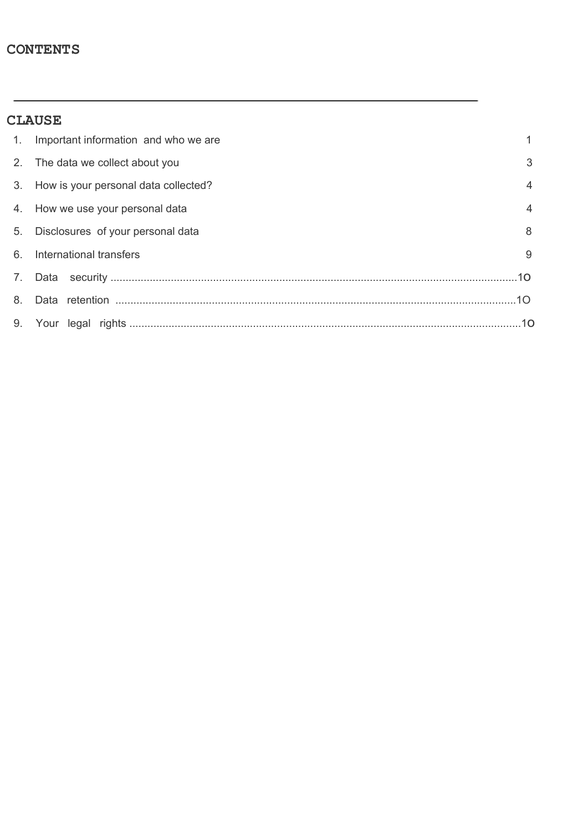# **CONTENTS**

# **CLAUSE**

| 1. Important information and who we are |                |
|-----------------------------------------|----------------|
| 2. The data we collect about you        | 3              |
| 3. How is your personal data collected? | $\overline{4}$ |
| 4. How we use your personal data        | $\overline{4}$ |
| 5. Disclosures of your personal data    | 8              |
| 6. International transfers              | 9              |
|                                         |                |
|                                         |                |
|                                         |                |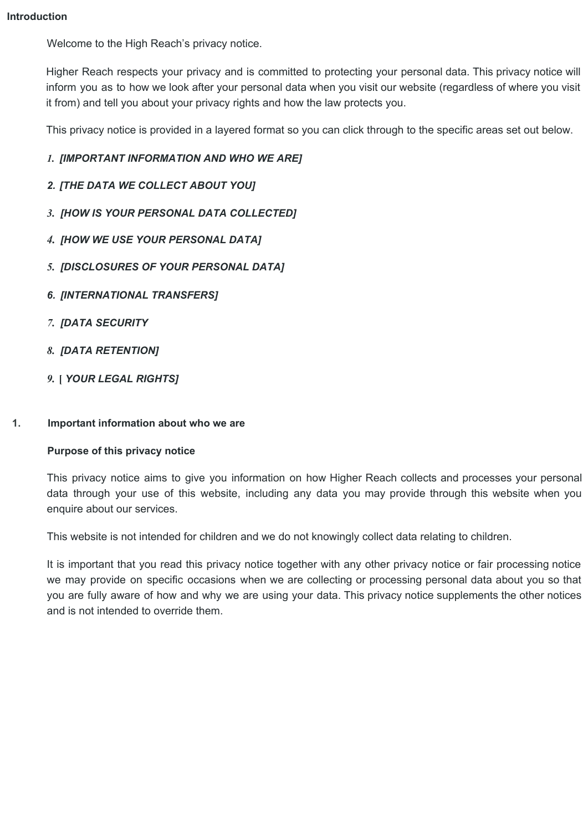Welcome to the High Reach's privacy notice.

Higher Reach respects your privacy and is committed to protecting your personal data. This privacy notice will inform you as to how we look after your personal data when you visit our website (regardless of where you visit it from) and tell you about your privacy rights and how the law protects you.

This privacy notice is provided in a layered format so you can click through to the specific areas set out below.

## *1. [IMPORTANT INFORMATION AND WHO WE ARE]*

- *2. [THE DATA WE COLLECT ABOUT YOU]*
- *3. [HOW IS YOUR PERSONAL DATA COLLECTED]*
- *4. [HOW WE USE YOUR PERSONAL DATA]*
- *5. [DISCLOSURES OF YOUR PERSONAL DATA]*
- *6. [INTERNATIONAL TRANSFERS]*
- *7. [DATA SECURITY*
- *8. [DATA RETENTION]*
- *9.* **[** *YOUR LEGAL RIGHTS]*

## **1. Important information about who we are**

## **Purpose of this privacy notice**

This privacy notice aims to give you information on how Higher Reach collects and processes your personal data through your use of this website, including any data you may provide through this website when you enquire about our services.

This website is not intended for children and we do not knowingly collect data relating to children.

It is important that you read this privacy notice together with any other privacy notice or fair processing notice we may provide on specific occasions when we are collecting or processing personal data about you so that you are fully aware of how and why we are using your data. This privacy notice supplements the other notices and is not intended to override them.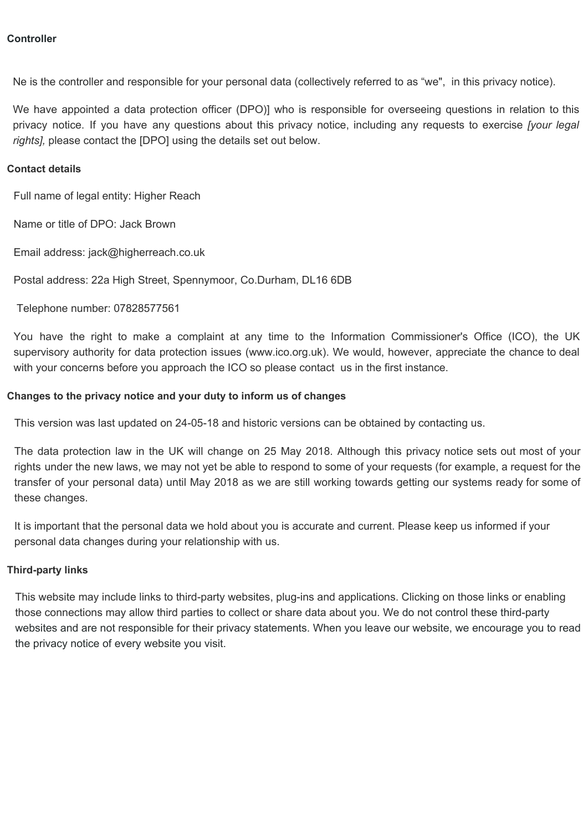#### **Controller**

Ne is the controller and responsible for your personal data (collectively referred to as "we", in this privacy notice).

We have appointed a data protection officer (DPO)] who is responsible for overseeing questions in relation to this privacy notice. If you have any questions about this privacy notice, including any requests to exercise *[your legal rights],* please contact the [DPO] using the details set out below.

#### **Contact details**

Full name of legal entity: Higher Reach

Name or title of DPO: Jack Brown

Email address: jack@higherreach.co.uk

Postal address: 22a High Street, Spennymoor, Co.Durham, DL16 6DB

Telephone number: 07828577561

You have the right to make a complaint at any time to the Information Commissioner's Office (ICO), the UK supervisory authority for data protection issues (www.ico.org.uk). We would, however, appreciate the chance to deal with your concerns before you approach the ICO so please contact us in the first instance.

#### **Changes to the privacy notice and your duty to inform us of changes**

This version was last updated on 24-05-18 and historic versions can be obtained by contacting us.

The data protection law in the UK will change on 25 May 2018. Although this privacy notice sets out most of your rights under the new laws, we may not yet be able to respond to some of your requests (for example, a request for the transfer of your personal data) until May 2018 as we are still working towards getting our systems ready for some of these changes.

It is important that the personal data we hold about you is accurate and current. Please keep us informed if your personal data changes during your relationship with us.

## **Third-party links**

This website may include links to third-party websites, plug-ins and applications. Clicking on those links or enabling those connections may allow third parties to collect or share data about you. We do not control these third-party websites and are not responsible for their privacy statements. When you leave our website, we encourage you to read the privacy notice of every website you visit.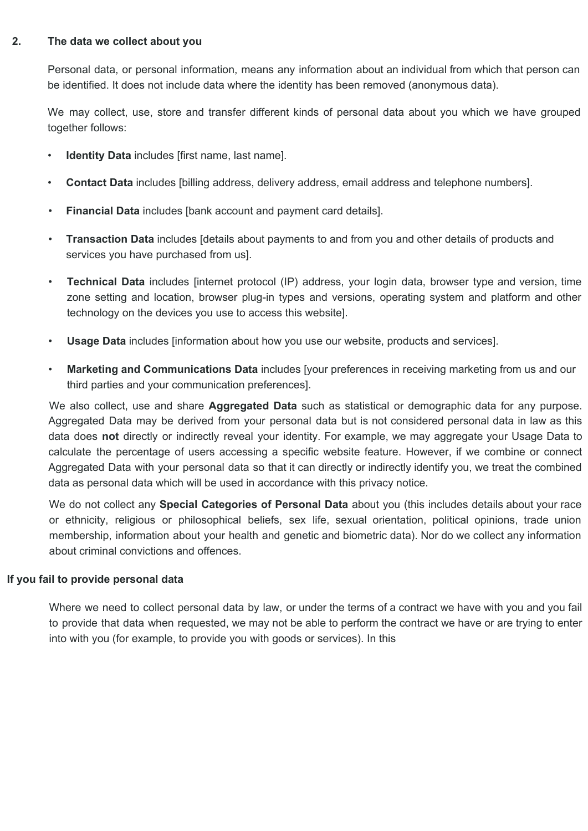## <span id="page-3-0"></span>**2. The data we collect about you**

Personal data, or personal information, means any information about an individual from which that person can be identified. It does not include data where the identity has been removed (anonymous data).

We may collect, use, store and transfer different kinds of personal data about you which we have grouped together follows:

- **Identity Data** includes [first name, last name].
- **Contact Data** includes [billing address, delivery address, email address and telephone numbers].
- **Financial Data** includes [bank account and payment card details].
- **Transaction Data** includes [details about payments to and from you and other details of products and services you have purchased from us].
- **Technical Data** includes [internet protocol (IP) address, your login data, browser type and version, time zone setting and location, browser plug-in types and versions, operating system and platform and other technology on the devices you use to access this website].
- **Usage Data** includes [information about how you use our website, products and services].
- **Marketing and Communications Data** includes [your preferences in receiving marketing from us and our third parties and your communication preferences].

We also collect, use and share **Aggregated Data** such as statistical or demographic data for any purpose. Aggregated Data may be derived from your personal data but is not considered personal data in law as this data does **not** directly or indirectly reveal your identity. For example, we may aggregate your Usage Data to calculate the percentage of users accessing a specific website feature. However, if we combine or connect Aggregated Data with your personal data so that it can directly or indirectly identify you, we treat the combined data as personal data which will be used in accordance with this privacy notice.

We do not collect any **Special Categories of Personal Data** about you (this includes details about your race or ethnicity, religious or philosophical beliefs, sex life, sexual orientation, political opinions, trade union membership, information about your health and genetic and biometric data). Nor do we collect any information about criminal convictions and offences.

## **If you fail to provide personal data**

Where we need to collect personal data by law, or under the terms of a contract we have with you and you fail to provide that data when requested, we may not be able to perform the contract we have or are trying to enter into with you (for example, to provide you with goods or services). In this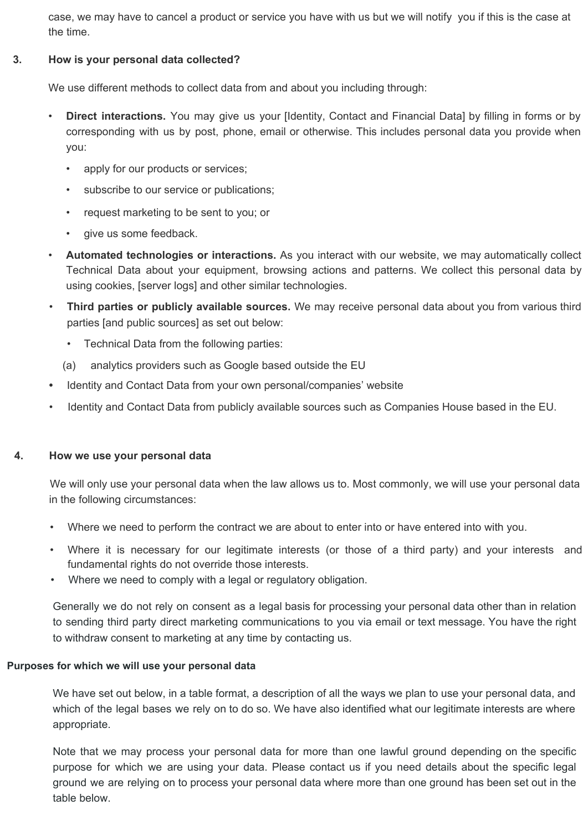case, we may have to cancel a product or service you have with us but we will notify you if this is the case at the time.

## <span id="page-4-0"></span>**3. How is your personal data collected?**

We use different methods to collect data from and about you including through:

- **Direct interactions.** You may give us your [Identity, Contact and Financial Data] by filling in forms or by corresponding with us by post, phone, email or otherwise. This includes personal data you provide when you:
	- apply for our products or services;
	- subscribe to our service or publications;
	- request marketing to be sent to you; or
	- give us some feedback.
- **Automated technologies or interactions.** As you interact with our website, we may automatically collect Technical Data about your equipment, browsing actions and patterns. We collect this personal data by using cookies, [server logs] and other similar technologies.
- **Third parties or publicly available sources.** We may receive personal data about you from various third parties [and public sources] as set out below:
	- Technical Data from the following parties:
	- (a) analytics providers such as Google based outside the EU
- **•** Identity and Contact Data from your own personal/companies' website
- Identity and Contact Data from publicly available sources such as Companies House based in the EU.

## <span id="page-4-1"></span>**4. How we use your personal data**

We will only use your personal data when the law allows us to. Most commonly, we will use your personal data in the following circumstances:

- Where we need to perform the contract we are about to enter into or have entered into with you.
- Where it is necessary for our legitimate interests (or those of a third party) and your interests and fundamental rights do not override those interests.
- Where we need to comply with a legal or regulatory obligation.

Generally we do not rely on consent as a legal basis for processing your personal data other than in relation to sending third party direct marketing communications to you via email or text message. You have the right to withdraw consent to marketing at any time by contacting us.

## **Purposes for which we will use your personal data**

We have set out below, in a table format, a description of all the ways we plan to use your personal data, and which of the legal bases we rely on to do so. We have also identified what our legitimate interests are where appropriate.

Note that we may process your personal data for more than one lawful ground depending on the specific purpose for which we are using your data. Please contact us if you need details about the specific legal ground we are relying on to process your personal data where more than one ground has been set out in the table below.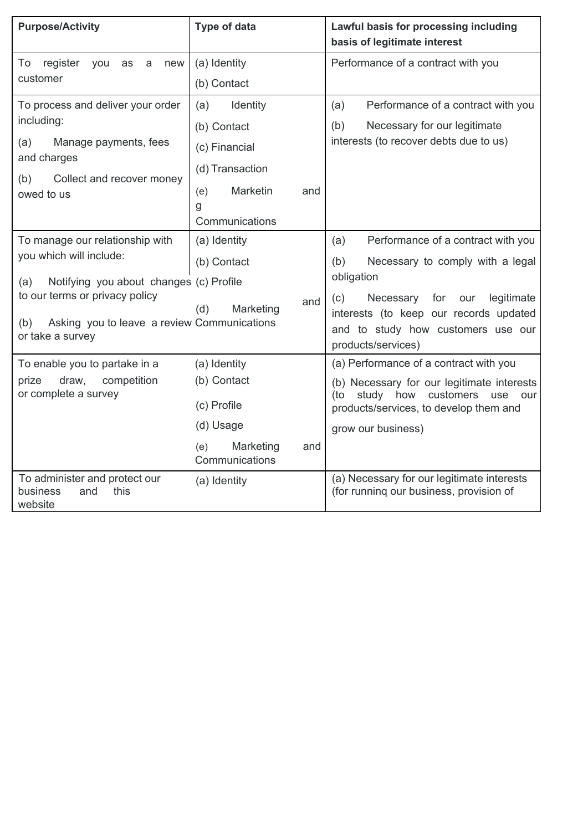| <b>Purpose/Activity</b>                                             | <b>Type of data</b>                       | Lawful basis for processing including<br>basis of legitimate interest                    |
|---------------------------------------------------------------------|-------------------------------------------|------------------------------------------------------------------------------------------|
| To<br>register<br>you<br>as<br>a<br>new                             | (a) Identity                              | Performance of a contract with you                                                       |
| customer                                                            | (b) Contact                               |                                                                                          |
| To process and deliver your order                                   | Identity<br>(a)                           | Performance of a contract with you<br>(a)                                                |
| including:                                                          | (b) Contact                               | Necessary for our legitimate<br>(b)                                                      |
| (a)<br>Manage payments, fees<br>and charges                         | (c) Financial                             | interests (to recover debts due to us)                                                   |
| Collect and recover money                                           | (d) Transaction                           |                                                                                          |
| (b)<br>owed to us                                                   | Marketin<br>(e)<br>and                    |                                                                                          |
|                                                                     | g<br>Communications                       |                                                                                          |
| To manage our relationship with                                     | (a) Identity                              | Performance of a contract with you<br>(a)                                                |
| you which will include:                                             | (b) Contact                               | Necessary to comply with a legal<br>(b)                                                  |
| Notifying you about changes (c) Profile<br>(a)                      |                                           | obligation                                                                               |
| to our terms or privacy policy                                      | and<br>(d)<br>Marketing                   | (c)<br>legitimate<br>Necessary<br>for our                                                |
| Asking you to leave a review Communications<br>(b)                  |                                           | interests (to keep our records updated<br>and to study how customers use our             |
| or take a survey                                                    |                                           | products/services)                                                                       |
| To enable you to partake in a                                       | (a) Identity                              | (a) Performance of a contract with you                                                   |
| competition<br>prize<br>draw,<br>or complete a survey               | (b) Contact                               | (b) Necessary for our legitimate interests                                               |
|                                                                     | (c) Profile                               | study<br>how<br>customers<br>use<br>(to<br>our<br>products/services, to develop them and |
|                                                                     | (d) Usage                                 | grow our business)                                                                       |
|                                                                     | Marketing<br>(e)<br>and<br>Communications |                                                                                          |
| To administer and protect our<br>business<br>this<br>and<br>website | (a) Identity                              | (a) Necessary for our legitimate interests<br>(for running our business, provision of    |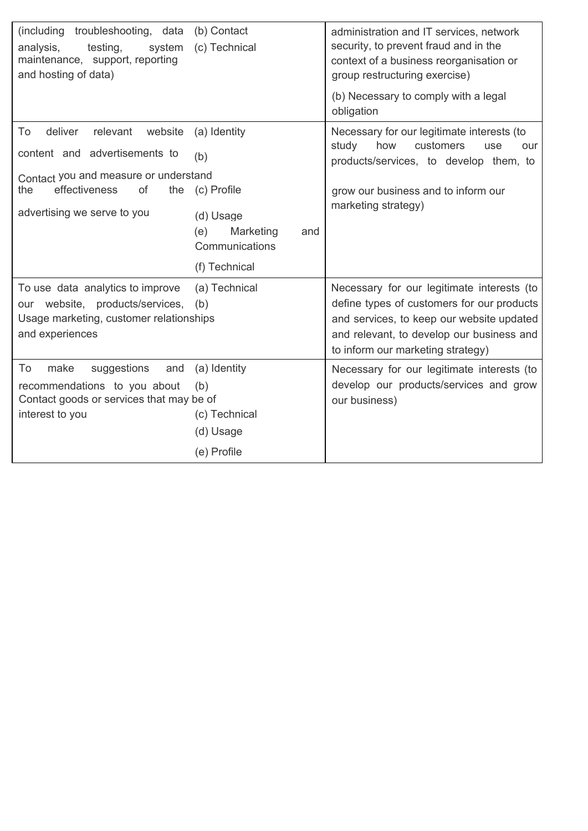| (including troubleshooting, data<br>analysis,<br>testing,<br>system<br>maintenance, support, reporting<br>and hosting of data)                                                            | (b) Contact<br>(c) Technical                                                                                  | administration and IT services, network<br>security, to prevent fraud and in the<br>context of a business reorganisation or<br>group restructuring exercise)<br>(b) Necessary to comply with a legal<br>obligation      |
|-------------------------------------------------------------------------------------------------------------------------------------------------------------------------------------------|---------------------------------------------------------------------------------------------------------------|-------------------------------------------------------------------------------------------------------------------------------------------------------------------------------------------------------------------------|
| deliver<br>relevant<br>To<br>website<br>content and advertisements to<br>Contact you and measure or understand<br>the<br>effectiveness<br><b>of</b><br>the<br>advertising we serve to you | (a) Identity<br>(b)<br>(c) Profile<br>(d) Usage<br>Marketing<br>(e)<br>and<br>Communications<br>(f) Technical | Necessary for our legitimate interests (to<br>study<br>customers<br>how<br>use<br>our<br>products/services, to develop them, to<br>grow our business and to inform our<br>marketing strategy)                           |
| To use data analytics to improve<br>our website, products/services,<br>Usage marketing, customer relationships<br>and experiences                                                         | (a) Technical<br>(b)                                                                                          | Necessary for our legitimate interests (to<br>define types of customers for our products<br>and services, to keep our website updated<br>and relevant, to develop our business and<br>to inform our marketing strategy) |
| suggestions<br>To<br>make<br>and<br>recommendations to you about<br>Contact goods or services that may be of<br>interest to you                                                           | (a) Identity<br>(b)<br>(c) Technical<br>(d) Usage<br>(e) Profile                                              | Necessary for our legitimate interests (to<br>develop our products/services and grow<br>our business)                                                                                                                   |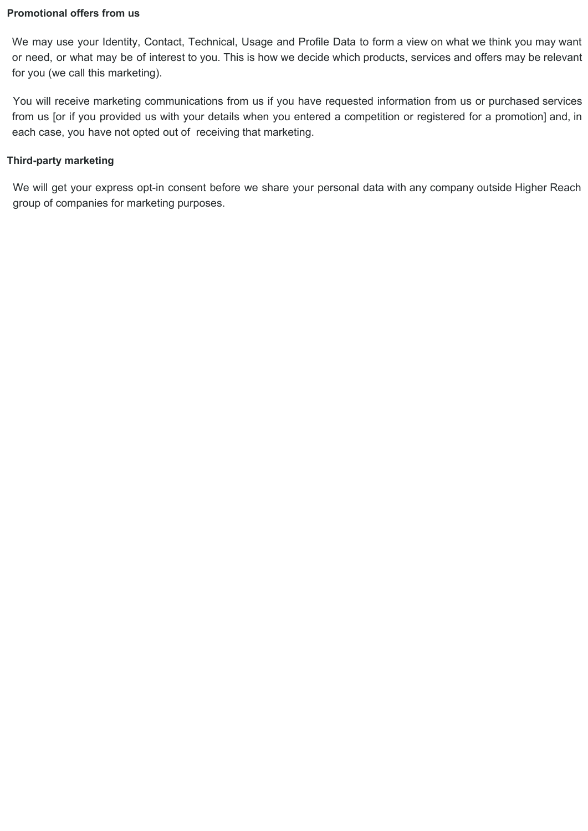#### **Promotional offers from us**

We may use your Identity, Contact, Technical, Usage and Profile Data to form a view on what we think you may want or need, or what may be of interest to you. This is how we decide which products, services and offers may be relevant for you (we call this marketing).

You will receive marketing communications from us if you have requested information from us or purchased services from us [or if you provided us with your details when you entered a competition or registered for a promotion] and, in each case, you have not opted out of receiving that marketing.

#### **Third-party marketing**

We will get your express opt-in consent before we share your personal data with any company outside Higher Reach group of companies for marketing purposes.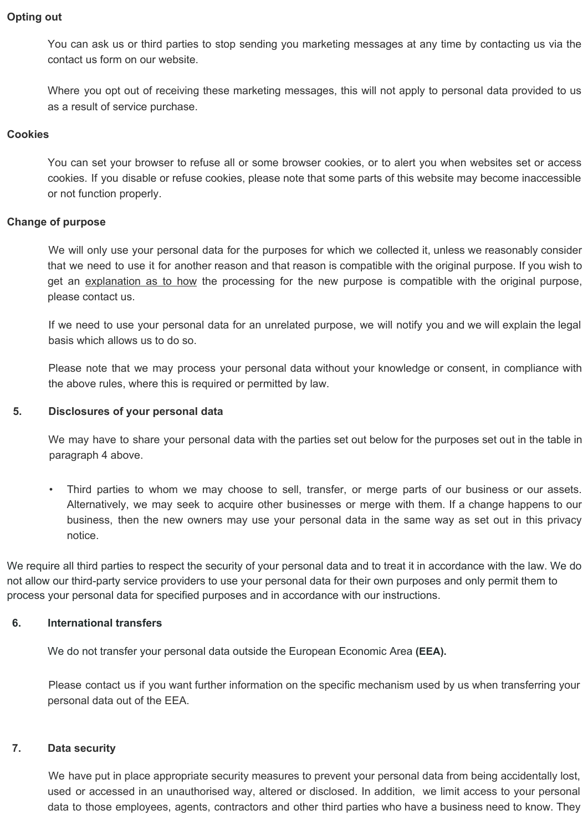## **Opting out**

You can ask us or third parties to stop sending you marketing messages at any time by contacting us via the contact us form on our website.

Where you opt out of receiving these marketing messages, this will not apply to personal data provided to us as a result of service purchase.

#### **Cookies**

You can set your browser to refuse all or some browser cookies, or to alert you when websites set or access cookies. If you disable or refuse cookies, please note that some parts of this website may become inaccessible or not function properly.

## **Change of purpose**

We will only use your personal data for the purposes for which we collected it, unless we reasonably consider that we need to use it for another reason and that reason is compatible with the original purpose. If you wish to get an explanation as to how the processing for the new purpose is compatible with the original purpose, please contact us.

If we need to use your personal data for an unrelated purpose, we will notify you and we will explain the legal basis which allows us to do so.

Please note that we may process your personal data without your knowledge or consent, in compliance with the above rules, where this is required or permitted by law.

## <span id="page-8-0"></span>**5. Disclosures of your personal data**

We may have to share your personal data with the parties set out below for the purposes set out in the table in paragraph 4 above.

• Third parties to whom we may choose to sell, transfer, or merge parts of our business or our assets. Alternatively, we may seek to acquire other businesses or merge with them. If a change happens to our business, then the new owners may use your personal data in the same way as set out in this privacy notice.

We require all third parties to respect the security of your personal data and to treat it in accordance with the law. We do not allow our third-party service providers to use your personal data for their own purposes and only permit them to process your personal data for specified purposes and in accordance with our instructions.

## <span id="page-8-1"></span>**6. International transfers**

We do not transfer your personal data outside the European Economic Area **(EEA).**

Please contact us if you want further information on the specific mechanism used by us when transferring your personal data out of the EEA.

## **7. Data security**

We have put in place appropriate security measures to prevent your personal data from being accidentally lost, used or accessed in an unauthorised way, altered or disclosed. In addition, we limit access to your personal data to those employees, agents, contractors and other third parties who have a business need to know. They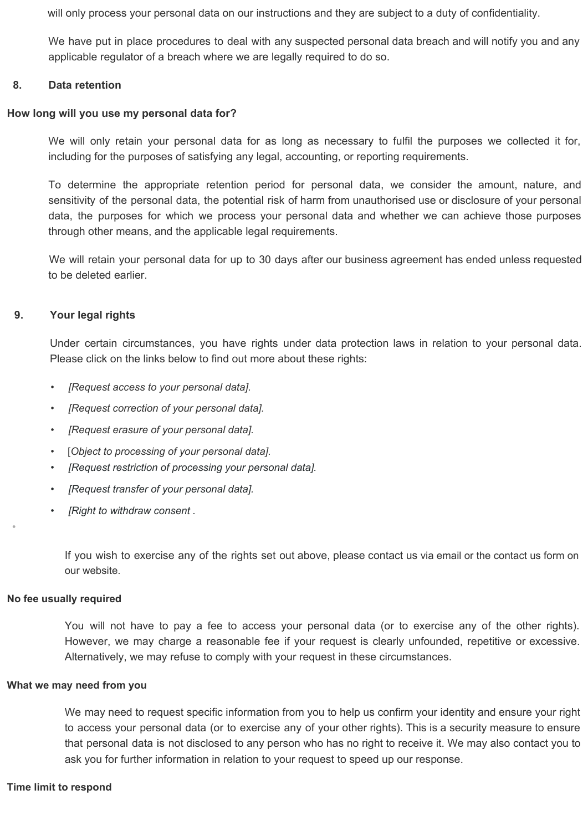will only process your personal data on our instructions and they are subject to a duty of confidentiality.

We have put in place procedures to deal with any suspected personal data breach and will notify you and any applicable regulator of a breach where we are legally required to do so.

## **8. Data retention**

## **How long will you use my personal data for?**

We will only retain your personal data for as long as necessary to fulfil the purposes we collected it for, including for the purposes of satisfying any legal, accounting, or reporting requirements.

To determine the appropriate retention period for personal data, we consider the amount, nature, and sensitivity of the personal data, the potential risk of harm from unauthorised use or disclosure of your personal data, the purposes for which we process your personal data and whether we can achieve those purposes through other means, and the applicable legal requirements.

We will retain your personal data for up to 30 days after our business agreement has ended unless requested to be deleted earlier.

## **9. Your legal rights**

Under certain circumstances, you have rights under data protection laws in relation to your personal data. Please click on the links below to find out more about these rights:

- *• [Request access to your personal data].*
- *• [Request correction of your personal data].*
- *• [Request erasure of your personal data].*
- *•* [*Object to processing of your personal data].*
- *• [Request restriction of processing your personal data].*
- *• [Request transfer of your personal data].*
- *• [Right to withdraw consent .*

If you wish to exercise any of the rights set out above, please contact us via email or the contact us form on our website.

#### **No fee usually required**

•

You will not have to pay a fee to access your personal data (or to exercise any of the other rights). However, we may charge a reasonable fee if your request is clearly unfounded, repetitive or excessive. Alternatively, we may refuse to comply with your request in these circumstances.

#### **What we may need from you**

We may need to request specific information from you to help us confirm your identity and ensure your right to access your personal data (or to exercise any of your other rights). This is a security measure to ensure that personal data is not disclosed to any person who has no right to receive it. We may also contact you to ask you for further information in relation to your request to speed up our response.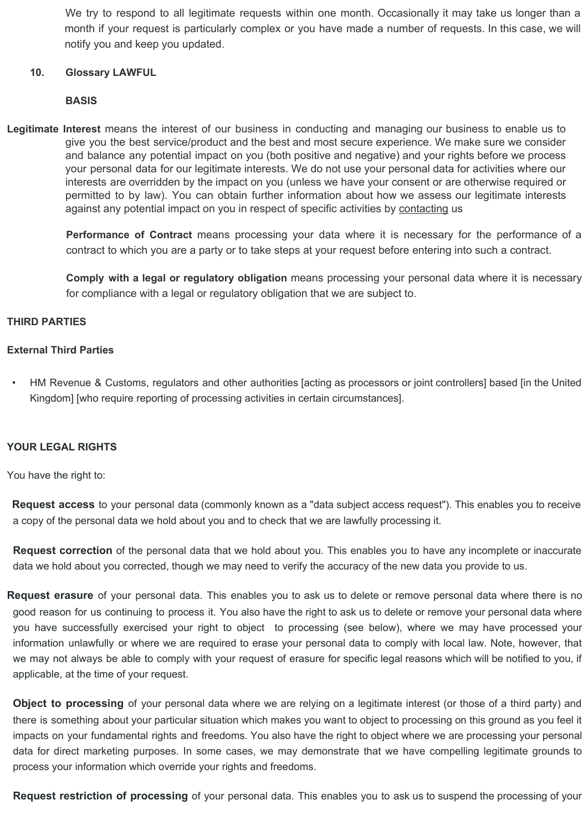We try to respond to all legitimate requests within one month. Occasionally it may take us longer than a month if your request is particularly complex or you have made a number of requests. In this case, we will notify you and keep you updated.

## **10. Glossary LAWFUL**

## **BASIS**

**Legitimate Interest** means the interest of our business in conducting and managing our business to enable us to give you the best service/product and the best and most secure experience. We make sure we consider and balance any potential impact on you (both positive and negative) and your rights before we process your personal data for our legitimate interests. We do not use your personal data for activities where our interests are overridden by the impact on you (unless we have your consent or are otherwise required or permitted to by law). You can obtain further information about how we assess our legitimate interests against any potential impact on you in respect of specific activities by contacting us

> **Performance of Contract** means processing your data where it is necessary for the performance of a contract to which you are a party or to take steps at your request before entering into such a contract.

> **Comply with a legal or regulatory obligation** means processing your personal data where it is necessary for compliance with a legal or regulatory obligation that we are subject to.

#### **THIRD PARTIES**

#### **External Third Parties**

• HM Revenue & Customs, regulators and other authorities [acting as processors or joint controllers] based [in the United Kingdom] [who require reporting of processing activities in certain circumstances].

#### **YOUR LEGAL RIGHTS**

You have the right to:

**Request access** to your personal data (commonly known as a "data subject access request"). This enables you to receive a copy of the personal data we hold about you and to check that we are lawfully processing it.

**Request correction** of the personal data that we hold about you. This enables you to have any incomplete or inaccurate data we hold about you corrected, though we may need to verify the accuracy of the new data you provide to us.

**Request erasure** of your personal data. This enables you to ask us to delete or remove personal data where there is no good reason for us continuing to process it. You also have the right to ask us to delete or remove your personal data where you have successfully exercised your right to object to processing (see below), where we may have processed your information unlawfully or where we are required to erase your personal data to comply with local law. Note, however, that we may not always be able to comply with your request of erasure for specific legal reasons which will be notified to you, if applicable, at the time of your request.

**Object to processing** of your personal data where we are relying on a legitimate interest (or those of a third party) and there is something about your particular situation which makes you want to object to processing on this ground as you feel it impacts on your fundamental rights and freedoms. You also have the right to object where we are processing your personal data for direct marketing purposes. In some cases, we may demonstrate that we have compelling legitimate grounds to process your information which override your rights and freedoms.

**Request restriction of processing** of your personal data. This enables you to ask us to suspend the processing of your